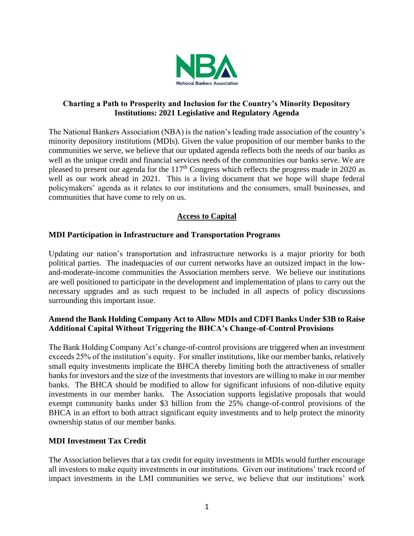

## **Charting a Path to Prosperity and Inclusion for the Country's Minority Depository Institutions: 2021 Legislative and Regulatory Agenda**

The National Bankers Association (NBA) is the nation's leading trade association of the country's minority depository institutions (MDIs). Given the value proposition of our member banks to the communities we serve, we believe that our updated agenda reflects both the needs of our banks as well as the unique credit and financial services needs of the communities our banks serve. We are pleased to present our agenda for the  $117<sup>th</sup>$  Congress which reflects the progress made in 2020 as well as our work ahead in 2021. This is a living document that we hope will shape federal policymakers' agenda as it relates to our institutions and the consumers, small businesses, and communities that have come to rely on us.

# **Access to Capital**

## **MDI Participation in Infrastructure and Transportation Programs**

Updating our nation's transportation and infrastructure networks is a major priority for both political parties. The inadequacies of our current networks have an outsized impact in the lowand-moderate-income communities the Association members serve. We believe our institutions are well positioned to participate in the development and implementation of plans to carry out the necessary upgrades and as such request to be included in all aspects of policy discussions surrounding this important issue.

# **Amend the Bank Holding Company Act to Allow MDIs and CDFI Banks Under \$3B to Raise Additional Capital Without Triggering the BHCA's Change-of-Control Provisions**

The Bank Holding Company Act's change-of-control provisions are triggered when an investment exceeds 25% of the institution's equity. For smaller institutions, like our member banks, relatively small equity investments implicate the BHCA thereby limiting both the attractiveness of smaller banks for investors and the size of the investments that investors are willing to make in our member banks. The BHCA should be modified to allow for significant infusions of non-dilutive equity investments in our member banks. The Association supports legislative proposals that would exempt community banks under \$3 billion from the 25% change-of-control provisions of the BHCA in an effort to both attract significant equity investments and to help protect the minority ownership status of our member banks.

## **MDI Investment Tax Credit**

The Association believes that a tax credit for equity investments in MDIs would further encourage all investors to make equity investments in our institutions. Given our institutions' track record of impact investments in the LMI communities we serve, we believe that our institutions' work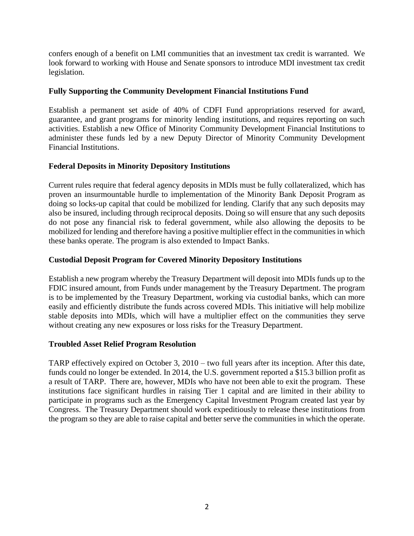confers enough of a benefit on LMI communities that an investment tax credit is warranted. We look forward to working with House and Senate sponsors to introduce MDI investment tax credit legislation.

## **Fully Supporting the Community Development Financial Institutions Fund**

Establish a permanent set aside of 40% of CDFI Fund appropriations reserved for award, guarantee, and grant programs for minority lending institutions, and requires reporting on such activities. Establish a new Office of Minority Community Development Financial Institutions to administer these funds led by a new Deputy Director of Minority Community Development Financial Institutions.

# **Federal Deposits in Minority Depository Institutions**

Current rules require that federal agency deposits in MDIs must be fully collateralized, which has proven an insurmountable hurdle to implementation of the Minority Bank Deposit Program as doing so locks-up capital that could be mobilized for lending. Clarify that any such deposits may also be insured, including through reciprocal deposits. Doing so will ensure that any such deposits do not pose any financial risk to federal government, while also allowing the deposits to be mobilized for lending and therefore having a positive multiplier effect in the communities in which these banks operate. The program is also extended to Impact Banks.

# **Custodial Deposit Program for Covered Minority Depository Institutions**

Establish a new program whereby the Treasury Department will deposit into MDIs funds up to the FDIC insured amount, from Funds under management by the Treasury Department. The program is to be implemented by the Treasury Department, working via custodial banks, which can more easily and efficiently distribute the funds across covered MDIs. This initiative will help mobilize stable deposits into MDIs, which will have a multiplier effect on the communities they serve without creating any new exposures or loss risks for the Treasury Department.

## **Troubled Asset Relief Program Resolution**

TARP effectively expired on October 3, 2010 – two full years after its inception. After this date, funds could no longer be extended. In 2014, the U.S. government reported a \$15.3 billion profit as a result of TARP. There are, however, MDIs who have not been able to exit the program. These institutions face significant hurdles in raising Tier 1 capital and are limited in their ability to participate in programs such as the Emergency Capital Investment Program created last year by Congress. The Treasury Department should work expeditiously to release these institutions from the program so they are able to raise capital and better serve the communities in which the operate.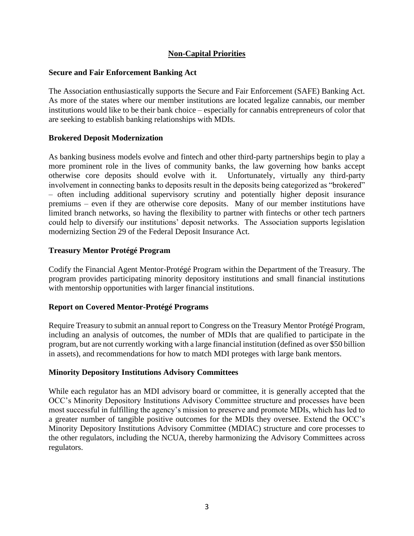## **Non-Capital Priorities**

#### **Secure and Fair Enforcement Banking Act**

The Association enthusiastically supports the Secure and Fair Enforcement (SAFE) Banking Act. As more of the states where our member institutions are located legalize cannabis, our member institutions would like to be their bank choice – especially for cannabis entrepreneurs of color that are seeking to establish banking relationships with MDIs.

#### **Brokered Deposit Modernization**

As banking business models evolve and fintech and other third-party partnerships begin to play a more prominent role in the lives of community banks, the law governing how banks accept otherwise core deposits should evolve with it. Unfortunately, virtually any third-party involvement in connecting banks to deposits result in the deposits being categorized as "brokered" – often including additional supervisory scrutiny and potentially higher deposit insurance premiums – even if they are otherwise core deposits. Many of our member institutions have limited branch networks, so having the flexibility to partner with fintechs or other tech partners could help to diversify our institutions' deposit networks. The Association supports legislation modernizing Section 29 of the Federal Deposit Insurance Act.

#### **Treasury Mentor Protégé Program**

Codify the Financial Agent Mentor-Protégé Program within the Department of the Treasury. The program provides participating minority depository institutions and small financial institutions with mentorship opportunities with larger financial institutions.

## **Report on Covered Mentor-Protégé Programs**

Require Treasury to submit an annual report to Congress on the Treasury Mentor Protégé Program, including an analysis of outcomes, the number of MDIs that are qualified to participate in the program, but are not currently working with a large financial institution (defined as over \$50 billion in assets), and recommendations for how to match MDI proteges with large bank mentors.

#### **Minority Depository Institutions Advisory Committees**

While each regulator has an MDI advisory board or committee, it is generally accepted that the OCC's Minority Depository Institutions Advisory Committee structure and processes have been most successful in fulfilling the agency's mission to preserve and promote MDIs, which has led to a greater number of tangible positive outcomes for the MDIs they oversee. Extend the OCC's Minority Depository Institutions Advisory Committee (MDIAC) structure and core processes to the other regulators, including the NCUA, thereby harmonizing the Advisory Committees across regulators.